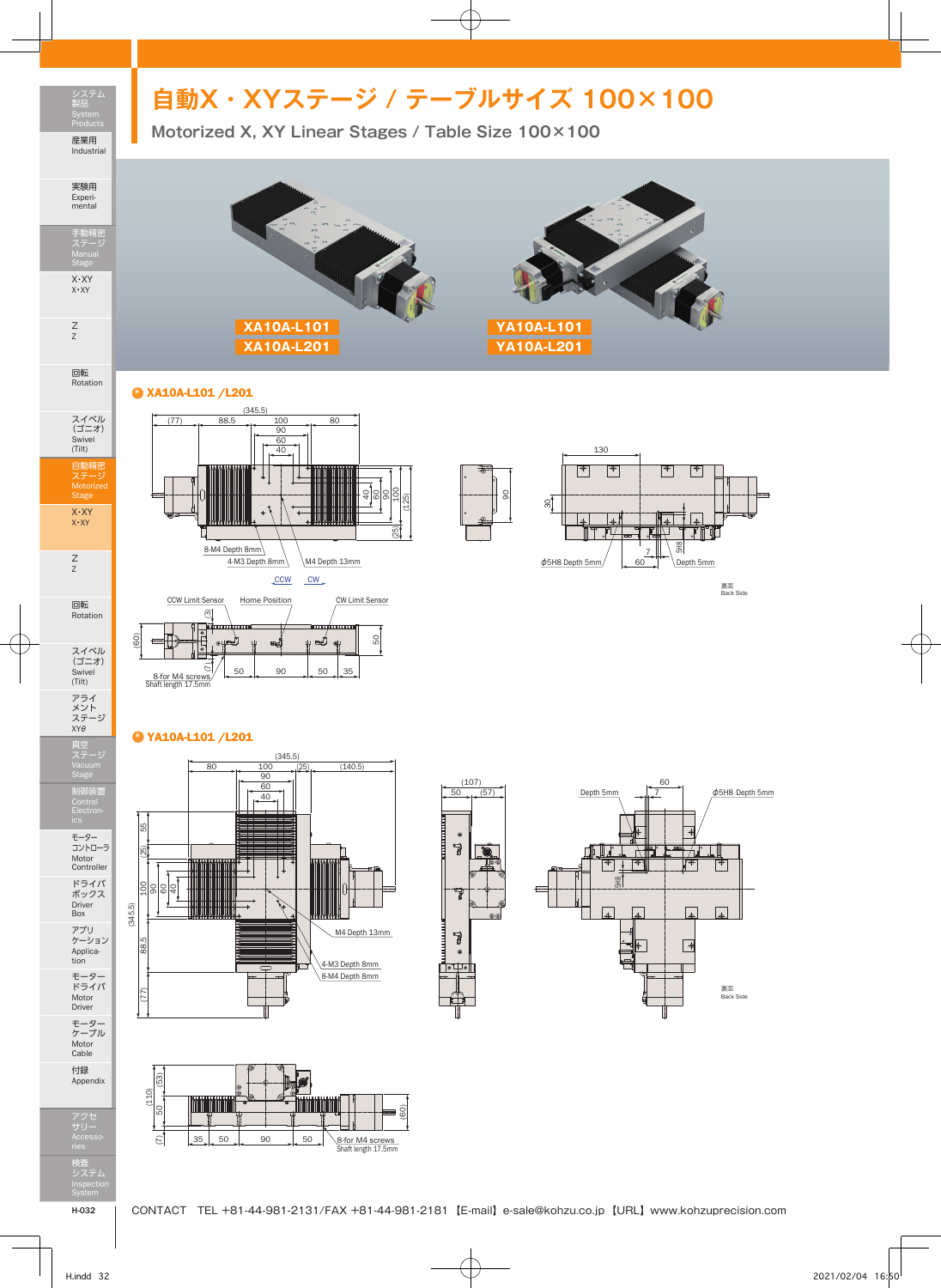## **自動X・XYステージ / テーブルサイズ 100×100**

**Motorized X, XY Linear Stages / Table Size 100×100**





## XA10A-L101 /L201

システム 製品 Products 産業用 Industrial

実験用 Experi-mental

手動精密 ステージ Manual Stage

X・XY X・XY

Z Z

回転 Rotation

スイベル (ゴニオ) Swivel (Tilt)

自動精密 ステージ Motorized Stage

X・XY X・XY

Z Z

回転 Rotation

スイベル (ゴニオ) Swivel (Tilt)

アライ<br>メント<br>ステージ<br>XYθ

真空 ステージ Vacuum Stage

制御装置 Control Electron-

モーター コントローラ Motor Controller ドライバ ボックス Driver Box

アプリ ケーション Applica-tion モーター ドライバ Motor Driver

モーター ケーブル Motor Cable 付録 Appendix







## YA10A-L101 /L201









検査 システム Inspection

アクセ サリー Accesso-